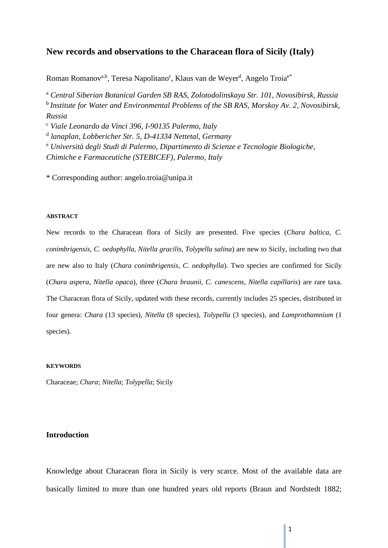# **New records and observations to the Characean flora of Sicily (Italy)**

Roman Romanov<sup>a,b</sup>, Teresa Napolitano<sup>c</sup>, Klaus van de Weyer<sup>d</sup>, Angelo Troia<sup>e\*</sup>

<sup>a</sup> *Central Siberian Botanical Garden SB RAS, Zolotodolinskaya Str. 101, Novosibirsk, Russia* <sup>b</sup>*Institute for Water and Environmental Problems of the SB RAS, Morskoy Av. 2, Novosibirsk, Russia*

<sup>c</sup> *Viale Leonardo da Vinci 396, I-90135 Palermo, Italy*

d *lanaplan, Lobbericher Str. 5, D-41334 Nettetal, Germany*

<sup>e</sup> *Università degli Studi di Palermo, Dipartimento di Scienze e Tecnologie Biologiche, Chimiche e Farmaceutiche (STEBICEF), Palermo, Italy*

\* Corresponding author: angelo.troia@unipa.it

#### **ABSTRACT**

New records to the Characean flora of Sicily are presented. Five species (*Chara baltica, C. conimbrigensis, C. oedophylla, Nitella gracilis, Tolypella salina*) are new to Sicily, including two that are new also to Italy (*Chara conimbrigensis, C. oedophylla*). Two species are confirmed for Sicily (*Chara aspera*, *Nitella opaca*), three (*Chara braunii, C. canescens, Nitella capillaris*) are rare taxa. The Characean flora of Sicily, updated with these records, currently includes 25 species, distributed in four genera: *Chara* (13 species), *Nitella* (8 species), *Tolypella* (3 species), and *Lamprothamnium* (1 species).

#### **KEYWORDS**

Characeae; *Chara*; *Nitella*; *Tolypella*; Sicily

# **Introduction**

Knowledge about Characean flora in Sicily is very scarce. Most of the available data are basically limited to more than one hundred years old reports (Braun and Nordstedt 1882;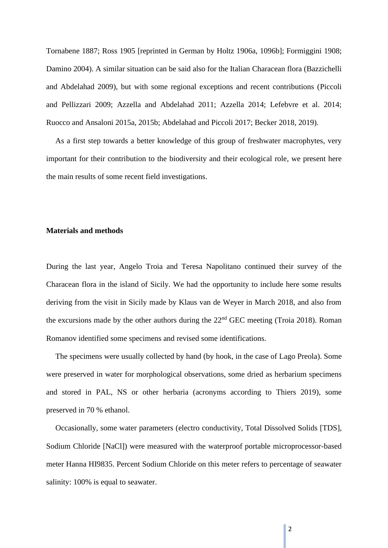Tornabene 1887; Ross 1905 [reprinted in German by Holtz 1906a, 1096b]; Formiggini 1908; Damino 2004). A similar situation can be said also for the Italian Characean flora (Bazzichelli and Abdelahad 2009), but with some regional exceptions and recent contributions (Piccoli and Pellizzari 2009; Azzella and Abdelahad 2011; Azzella 2014; Lefebvre et al. 2014; Ruocco and Ansaloni 2015a, 2015b; Abdelahad and Piccoli 2017; Becker 2018, 2019).

As a first step towards a better knowledge of this group of freshwater macrophytes, very important for their contribution to the biodiversity and their ecological role, we present here the main results of some recent field investigations.

#### **Materials and methods**

During the last year, Angelo Troia and Teresa Napolitano continued their survey of the Characean flora in the island of Sicily. We had the opportunity to include here some results deriving from the visit in Sicily made by Klaus van de Weyer in March 2018, and also from the excursions made by the other authors during the  $22<sup>nd</sup>$  GEC meeting (Troia 2018). Roman Romanov identified some specimens and revised some identifications.

The specimens were usually collected by hand (by hook, in the case of Lago Preola). Some were preserved in water for morphological observations, some dried as herbarium specimens and stored in PAL, NS or other herbaria (acronyms according to Thiers 2019), some preserved in 70 % ethanol.

Occasionally, some water parameters (electro conductivity, Total Dissolved Solids [TDS], Sodium Chloride [NaCl]) were measured with the waterproof portable microprocessor-based meter Hanna HI9835. Percent Sodium Chloride on this meter refers to percentage of seawater salinity: 100% is equal to seawater.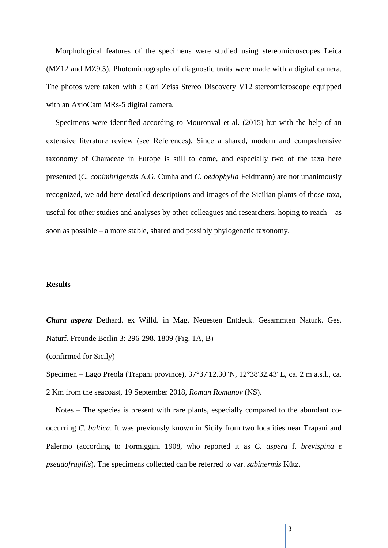Morphological features of the specimens were studied using stereomicroscopes Leica (MZ12 and MZ9.5). Photomicrographs of diagnostic traits were made with a digital camera. The photos were taken with a Carl Zeiss Stereo Discovery V12 stereomicroscope equipped with an AxioCam MRs-5 digital camera.

Specimens were identified according to Mouronval et al. (2015) but with the help of an extensive literature review (see References). Since a shared, modern and comprehensive taxonomy of Characeae in Europe is still to come, and especially two of the taxa here presented (*C. conimbrigensis* A.G. Cunha and *C. oedophylla* Feldmann) are not unanimously recognized, we add here detailed descriptions and images of the Sicilian plants of those taxa, useful for other studies and analyses by other colleagues and researchers, hoping to reach – as soon as possible – a more stable, shared and possibly phylogenetic taxonomy.

# **Results**

*Chara aspera* Dethard. ex Willd. in Mag. Neuesten Entdeck. Gesammten Naturk. Ges. Naturf. Freunde Berlin 3: 296-298. 1809 (Fig. 1A, B)

(confirmed for Sicily)

Specimen – Lago Preola (Trapani province), 37°37'12.30"N, 12°38'32.43"E, ca. 2 m a.s.l., ca.

2 Km from the seacoast, 19 September 2018, *Roman Romanov* (NS).

Notes – The species is present with rare plants, especially compared to the abundant cooccurring *C. baltica*. It was previously known in Sicily from two localities near Trapani and Palermo (according to Formiggini 1908, who reported it as *C. aspera* f. *brevispina* ε *pseudofragilis*). The specimens collected can be referred to var. *subinermis* Kütz.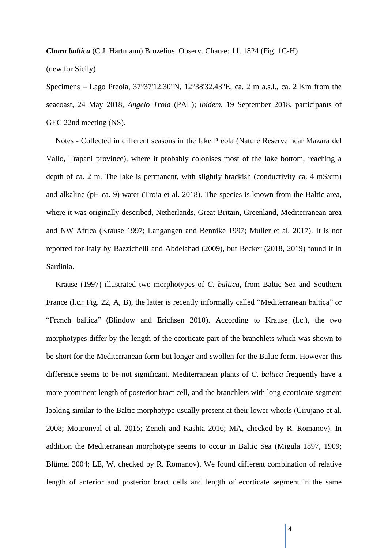*Chara baltica* (C.J. Hartmann) Bruzelius, Observ. Charae: 11. 1824 (Fig. 1C-H)

(new for Sicily)

Specimens – Lago Preola, 37°37'12.30"N, 12°38'32.43"E, ca. 2 m a.s.l., ca. 2 Km from the seacoast, 24 May 2018, *Angelo Troia* (PAL); *ibidem*, 19 September 2018, participants of GEC 22nd meeting (NS).

Notes - Collected in different seasons in the lake Preola (Nature Reserve near Mazara del Vallo, Trapani province), where it probably colonises most of the lake bottom, reaching a depth of ca. 2 m. The lake is permanent, with slightly brackish (conductivity ca. 4 mS/cm) and alkaline (pH ca. 9) water (Troia et al. 2018). The species is known from the Baltic area, where it was originally described, Netherlands, Great Britain, Greenland, Mediterranean area and NW Africa (Krause 1997; Langangen and Bennike 1997; Muller et al. 2017). It is not reported for Italy by Bazzichelli and Abdelahad (2009), but Becker (2018, 2019) found it in Sardinia.

Krause (1997) illustrated two morphotypes of *C. baltica*, from Baltic Sea and Southern France (l.c.: Fig. 22, A, B), the latter is recently informally called "Mediterranean baltica" or "French baltica" (Blindow and Erichsen 2010). According to Krause (l.c.), the two morphotypes differ by the length of the ecorticate part of the branchlets which was shown to be short for the Mediterranean form but longer and swollen for the Baltic form. However this difference seems to be not significant. Mediterranean plants of *C. baltica* frequently have a more prominent length of posterior bract cell, and the branchlets with long ecorticate segment looking similar to the Baltic morphotype usually present at their lower whorls (Cirujano et al. 2008; Mouronval et al. 2015; Zeneli and Kashta 2016; MA, checked by R. Romanov). In addition the Mediterranean morphotype seems to occur in Baltic Sea (Migula 1897, 1909; Blümel 2004; LE, W, checked by R. Romanov). We found different combination of relative length of anterior and posterior bract cells and length of ecorticate segment in the same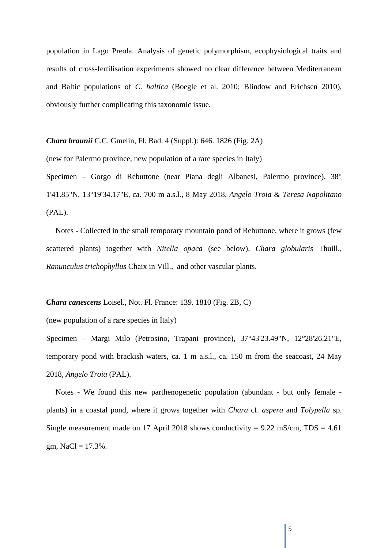population in Lago Preola. Analysis of genetic polymorphism, ecophysiological traits and results of cross-fertilisation experiments showed no clear difference between Mediterranean and Baltic populations of *C. baltica* (Boegle et al. 2010; Blindow and Erichsen 2010), obviously further complicating this taxonomic issue.

*Chara braunii* C.C. Gmelin, Fl. Bad. 4 (Suppl.): 646. 1826 (Fig. 2A)

(new for Palermo province, new population of a rare species in Italy)

Specimen – Gorgo di Rebuttone (near Piana degli Albanesi, Palermo province), 38° 1'41.85"N, 13°19'34.17"E, ca. 700 m a.s.l., 8 May 2018, *Angelo Troia & Teresa Napolitano* (PAL).

Notes - Collected in the small temporary mountain pond of Rebuttone, where it grows (few scattered plants) together with *Nitella opaca* (see below), *Chara globularis* Thuill., *Ranunculus trichophyllus* Chaix in Vill., and other vascular plants.

*Chara canescens* Loisel., Not. Fl. France: 139. 1810 (Fig. 2B, C)

(new population of a rare species in Italy)

Specimen – Margi Milo (Petrosino, Trapani province), 37°43'23.49"N, 12°28'26.21"E, temporary pond with brackish waters, ca. 1 m a.s.l., ca. 150 m from the seacoast, 24 May 2018, *Angelo Troia* (PAL).

Notes - We found this new parthenogenetic population (abundant - but only female plants) in a coastal pond, where it grows together with *Chara* cf. *aspera* and *Tolypella* sp. Single measurement made on 17 April 2018 shows conductivity =  $9.22 \text{ mS/cm}$ , TDS = 4.61 gm,  $NaCl = 17.3%$ .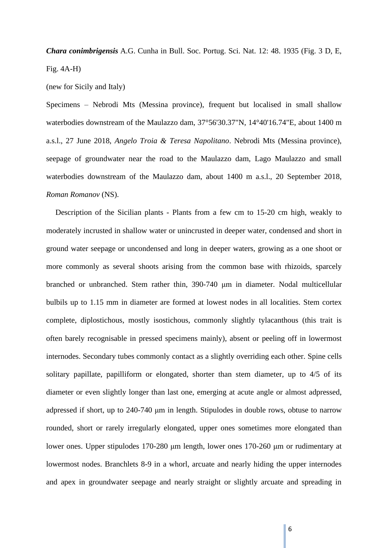*Chara conimbrigensis* A.G. Cunha in Bull. Soc. Portug. Sci. Nat. 12: 48. 1935 (Fig. 3 D, E, Fig. 4A-H)

(new for Sicily and Italy)

Specimens – Nebrodi Mts (Messina province), frequent but localised in small shallow waterbodies downstream of the Maulazzo dam, 37°56'30.37"N, 14°40'16.74"E, about 1400 m a.s.l., 27 June 2018, *Angelo Troia & Teresa Napolitano*. Nebrodi Mts (Messina province), seepage of groundwater near the road to the Maulazzo dam, Lago Maulazzo and small waterbodies downstream of the Maulazzo dam, about 1400 m a.s.l., 20 September 2018, *Roman Romanov* (NS).

Description of the Sicilian plants - Plants from a few cm to 15-20 cm high, weakly to moderately incrusted in shallow water or unincrusted in deeper water, condensed and short in ground water seepage or uncondensed and long in deeper waters, growing as a one shoot or more commonly as several shoots arising from the common base with rhizoids, sparcely branched or unbranched. Stem rather thin, 390-740 μm in diameter. Nodal multicellular bulbils up to 1.15 mm in diameter are formed at lowest nodes in all localities. Stem cortex complete, diplostichous, mostly isostichous, commonly slightly tylacanthous (this trait is often barely recognisable in pressed specimens mainly), absent or peeling off in lowermost internodes. Secondary tubes commonly contact as a slightly overriding each other. Spine cells solitary papillate, papilliform or elongated, shorter than stem diameter, up to 4/5 of its diameter or even slightly longer than last one, emerging at acute angle or almost adpressed, adpressed if short, up to 240-740 μm in length. Stipulodes in double rows, obtuse to narrow rounded, short or rarely irregularly elongated, upper ones sometimes more elongated than lower ones. Upper stipulodes 170-280 μm length, lower ones 170-260 μm or rudimentary at lowermost nodes. Branchlets 8-9 in a whorl, arcuate and nearly hiding the upper internodes and apex in groundwater seepage and nearly straight or slightly arcuate and spreading in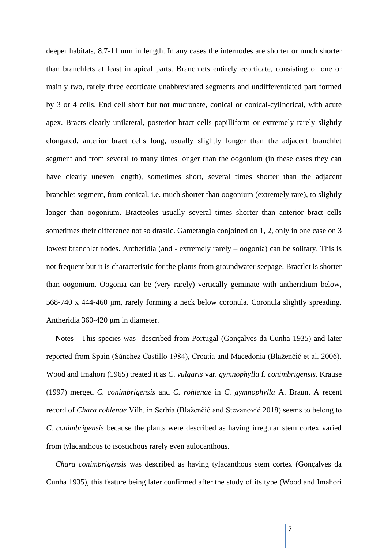deeper habitats, 8.7-11 mm in length. In any cases the internodes are shorter or much shorter than branchlets at least in apical parts. Branchlets entirely ecorticate, consisting of one or mainly two, rarely three ecorticate unabbreviated segments and undifferentiated part formed by 3 or 4 cells. End cell short but not mucronate, conical or conical-cylindrical, with acute apex. Bracts clearly unilateral, posterior bract cells papilliform or extremely rarely slightly elongated, anterior bract cells long, usually slightly longer than the adjacent branchlet segment and from several to many times longer than the oogonium (in these cases they can have clearly uneven length), sometimes short, several times shorter than the adjacent branchlet segment, from conical, i.e. much shorter than oogonium (extremely rare), to slightly longer than oogonium. Bracteoles usually several times shorter than anterior bract cells sometimes their difference not so drastic. Gametangia conjoined on 1, 2, only in one case on 3 lowest branchlet nodes. Antheridia (and - extremely rarely – oogonia) can be solitary. This is not frequent but it is characteristic for the plants from groundwater seepage. Bractlet is shorter than oogonium. Oogonia can be (very rarely) vertically geminate with antheridium below, 568-740 x 444-460 μm, rarely forming a neck below coronula. Coronula slightly spreading. Antheridia 360-420 μm in diameter.

Notes - This species was described from Portugal (Gonçalves da Cunha 1935) and later reported from Spain (Sánchez Castillo 1984), Croatia and Macedonia (Blaženčić et al. 2006). Wood and Imahori (1965) treated it as *C. vulgaris* var. *gymnophylla* f. *conimbrigensis*. Krause (1997) merged *C. conimbrigensis* and *C. rohlenae* in *C. gymnophylla* A. Braun. A recent record of *Chara rohlenae* Vilh. in Serbia (Blaženčić and Stevanović 2018) seems to belong to *C. conimbrigensis* because the plants were described as having irregular stem cortex varied from tylacanthous to isostichous rarely even aulocanthous.

*Chara conimbrigensis* was described as having tylacanthous stem cortex (Gonçalves da Cunha 1935), this feature being later confirmed after the study of its type (Wood and Imahori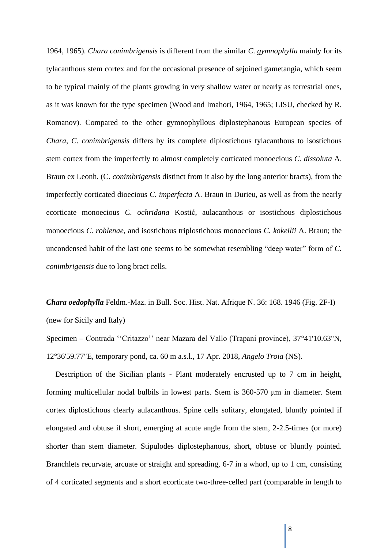1964, 1965). *Chara conimbrigensis* is different from the similar *C. gymnophylla* mainly for its tylacanthous stem cortex and for the occasional presence of sejoined gametangia, which seem to be typical mainly of the plants growing in very shallow water or nearly as terrestrial ones, as it was known for the type specimen (Wood and Imahori, 1964, 1965; LISU, checked by R. Romanov). Compared to the other gymnophyllous diplostephanous European species of *Chara*, *C. conimbrigensis* differs by its complete diplostichous tylacanthous to isostichous stem cortex from the imperfectly to almost completely corticated monoecious *C. dissoluta* A. Braun ex Leonh. (C. *conimbrigensis* distinct from it also by the long anterior bracts), from the imperfectly corticated dioecious *C. imperfecta* A. Braun in Durieu, as well as from the nearly ecorticate monoecious *C. ochridana* Kostić, aulacanthous or isostichous diplostichous monoecious *C. rohlenae*, and isostichous triplostichous monoecious *C. kokeilii* A. Braun; the uncondensed habit of the last one seems to be somewhat resembling "deep water" form of *C. conimbrigensis* due to long bract cells.

*Chara oedophylla* Feldm.-Maz. in Bull. Soc. Hist. Nat. Afrique N. 36: 168. 1946 (Fig. 2F-I) (new for Sicily and Italy)

Specimen – Contrada ''Critazzo'' near Mazara del Vallo (Trapani province), 37°41'10.63"N, 12°36'59.77"E, temporary pond, ca. 60 m a.s.l., 17 Apr. 2018, *Angelo Troia* (NS).

Description of the Sicilian plants - Plant moderately encrusted up to 7 cm in height, forming multicellular nodal bulbils in lowest parts. Stem is 360-570 μm in diameter. Stem cortex diplostichous clearly aulacanthous. Spine cells solitary, elongated, bluntly pointed if elongated and obtuse if short, emerging at acute angle from the stem, 2-2.5-times (or more) shorter than stem diameter. Stipulodes diplostephanous, short, obtuse or bluntly pointed. Branchlets recurvate, arcuate or straight and spreading, 6-7 in a whorl, up to 1 cm, consisting of 4 corticated segments and a short ecorticate two-three-celled part (comparable in length to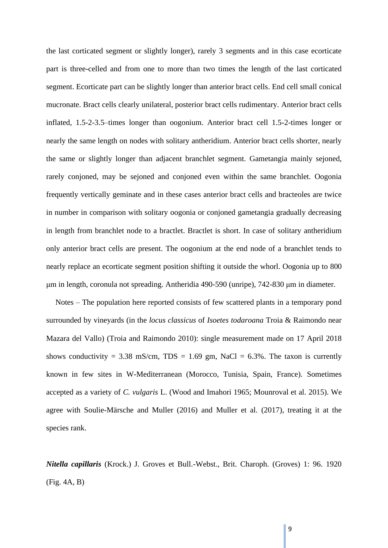the last corticated segment or slightly longer), rarely 3 segments and in this case ecorticate part is three-celled and from one to more than two times the length of the last corticated segment. Ecorticate part can be slightly longer than anterior bract cells. End cell small conical mucronate. Bract cells clearly unilateral, posterior bract cells rudimentary. Anterior bract cells inflated, 1.5-2-3.5–times longer than oogonium. Anterior bract cell 1.5-2-times longer or nearly the same length on nodes with solitary antheridium. Anterior bract cells shorter, nearly the same or slightly longer than adjacent branchlet segment. Gametangia mainly sejoned, rarely conjoned, may be sejoned and conjoned even within the same branchlet. Oogonia frequently vertically geminate and in these cases anterior bract cells and bracteoles are twice in number in comparison with solitary oogonia or conjoned gametangia gradually decreasing in length from branchlet node to a bractlet. Bractlet is short. In case of solitary antheridium only anterior bract cells are present. The oogonium at the end node of a branchlet tends to nearly replace an ecorticate segment position shifting it outside the whorl. Oogonia up to 800 μm in length, coronula not spreading. Antheridia 490-590 (unripe), 742-830 μm in diameter.

Notes – The population here reported consists of few scattered plants in a temporary pond surrounded by vineyards (in the *locus classicus* of *Isoetes todaroana* Troia & Raimondo near Mazara del Vallo) (Troia and Raimondo 2010): single measurement made on 17 April 2018 shows conductivity = 3.38 mS/cm, TDS = 1.69 gm, NaCl = 6.3%. The taxon is currently known in few sites in W-Mediterranean (Morocco, Tunisia, Spain, France). Sometimes accepted as a variety of *C. vulgaris* L. (Wood and Imahori 1965; Mounroval et al. 2015). We agree with Soulie-Märsche and Muller (2016) and Muller et al. (2017), treating it at the species rank.

*Nitella capillaris* (Krock.) J. Groves et Bull.-Webst., Brit. Charoph. (Groves) 1: 96. 1920 (Fig. 4A, B)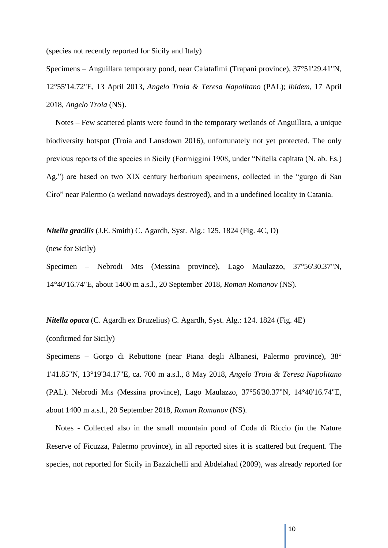(species not recently reported for Sicily and Italy)

Specimens – Anguillara temporary pond, near Calatafimi (Trapani province), 37°51'29.41"N, 12°55'14.72"E, 13 April 2013, *Angelo Troia & Teresa Napolitano* (PAL); *ibidem*, 17 April 2018, *Angelo Troia* (NS).

Notes – Few scattered plants were found in the temporary wetlands of Anguillara, a unique biodiversity hotspot (Troia and Lansdown 2016), unfortunately not yet protected. The only previous reports of the species in Sicily (Formiggini 1908, under "Nitella capitata (N. ab. Es.) Ag.") are based on two XIX century herbarium specimens, collected in the "gurgo di San Ciro" near Palermo (a wetland nowadays destroyed), and in a undefined locality in Catania.

*Nitella gracilis* (J.E. Smith) C. Agardh, Syst. Alg.: 125. 1824 (Fig. 4C, D)

(new for Sicily)

Specimen – Nebrodi Mts (Messina province), Lago Maulazzo, 37°56'30.37"N, 14°40'16.74"E, about 1400 m a.s.l., 20 September 2018, *Roman Romanov* (NS).

*Nitella opaca* (C. Agardh ex Bruzelius) C. Agardh, Syst. Alg.: 124. 1824 (Fig. 4E) (confirmed for Sicily)

Specimens – Gorgo di Rebuttone (near Piana degli Albanesi, Palermo province), 38° 1'41.85"N, 13°19'34.17"E, ca. 700 m a.s.l., 8 May 2018, *Angelo Troia & Teresa Napolitano* (PAL). Nebrodi Mts (Messina province), Lago Maulazzo, 37°56'30.37"N, 14°40'16.74"E, about 1400 m a.s.l., 20 September 2018, *Roman Romanov* (NS).

Notes - Collected also in the small mountain pond of Coda di Riccio (in the Nature Reserve of Ficuzza, Palermo province), in all reported sites it is scattered but frequent. The species, not reported for Sicily in Bazzichelli and Abdelahad (2009), was already reported for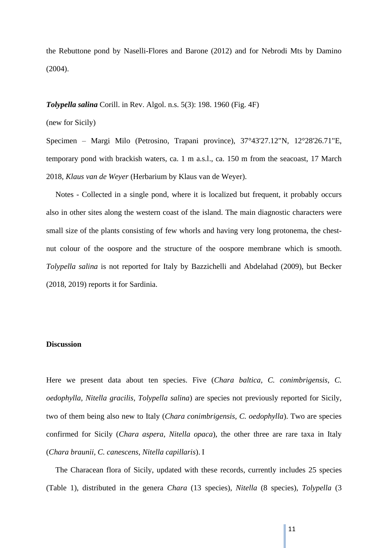the Rebuttone pond by Naselli-Flores and Barone (2012) and for Nebrodi Mts by Damino (2004).

*Tolypella salina* Corill. in Rev. Algol. n.s. 5(3): 198. 1960 (Fig. 4F)

(new for Sicily)

Specimen – Margi Milo (Petrosino, Trapani province), 37°43'27.12"N, 12°28'26.71"E, temporary pond with brackish waters, ca. 1 m a.s.l., ca. 150 m from the seacoast, 17 March 2018, *Klaus van de Weyer* (Herbarium by Klaus van de Weyer).

Notes - Collected in a single pond, where it is localized but frequent, it probably occurs also in other sites along the western coast of the island. The main diagnostic characters were small size of the plants consisting of few whorls and having very long protonema, the chestnut colour of the oospore and the structure of the oospore membrane which is smooth. *Tolypella salina* is not reported for Italy by Bazzichelli and Abdelahad (2009), but Becker (2018, 2019) reports it for Sardinia.

#### **Discussion**

Here we present data about ten species. Five (*Chara baltica, C. conimbrigensis, C. oedophylla, Nitella gracilis, Tolypella salina*) are species not previously reported for Sicily, two of them being also new to Italy (*Chara conimbrigensis, C. oedophylla*). Two are species confirmed for Sicily (*Chara aspera*, *Nitella opaca*), the other three are rare taxa in Italy (*Chara braunii, C. canescens, Nitella capillaris*). I

The Characean flora of Sicily, updated with these records, currently includes 25 species (Table 1), distributed in the genera *Chara* (13 species), *Nitella* (8 species), *Tolypella* (3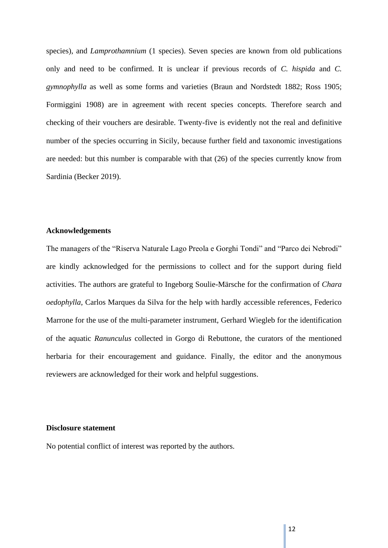species), and *Lamprothamnium* (1 species). Seven species are known from old publications only and need to be confirmed. It is unclear if previous records of *C. hispida* and *C. gymnophylla* as well as some forms and varieties (Braun and Nordstedt 1882; Ross 1905; Formiggini 1908) are in agreement with recent species concepts. Therefore search and checking of their vouchers are desirable. Twenty-five is evidently not the real and definitive number of the species occurring in Sicily, because further field and taxonomic investigations are needed: but this number is comparable with that (26) of the species currently know from Sardinia (Becker 2019).

## **Acknowledgements**

The managers of the "Riserva Naturale Lago Preola e Gorghi Tondi" and "Parco dei Nebrodi" are kindly acknowledged for the permissions to collect and for the support during field activities. The authors are grateful to Ingeborg Soulie-Märsche for the confirmation of *Chara oedophylla*, Carlos Marques da Silva for the help with hardly accessible references, Federico Marrone for the use of the multi-parameter instrument, Gerhard Wiegleb for the identification of the aquatic *Ranunculus* collected in Gorgo di Rebuttone, the curators of the mentioned herbaria for their encouragement and guidance. Finally, the editor and the anonymous reviewers are acknowledged for their work and helpful suggestions.

# **Disclosure statement**

No potential conflict of interest was reported by the authors.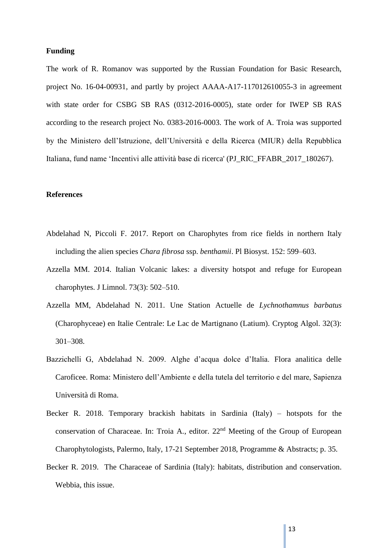# **Funding**

The work of R. Romanov was supported by the Russian Foundation for Basic Research, project No. 16-04-00931, and partly by project AAAA-A17-117012610055-3 in agreement with state order for CSBG SB RAS (0312-2016-0005), state order for IWEP SB RAS according to the research project No. 0383-2016-0003. The work of A. Troia was supported by the Ministero dell'Istruzione, dell'Università e della Ricerca (MIUR) della Repubblica Italiana, fund name 'Incentivi alle attività base di ricerca' (PJ\_RIC\_FFABR\_2017\_180267).

#### **References**

- Abdelahad N, Piccoli F. 2017. Report on Charophytes from rice fields in northern Italy including the alien species *Chara fibrosa* ssp. *benthamii*. Pl Biosyst. 152: 599–603.
- Azzella MM. 2014. Italian Volcanic lakes: a diversity hotspot and refuge for European charophytes. J Limnol. 73(3): 502–510.
- Azzella MM, Abdelahad N. 2011. Une Station Actuelle de *Lychnothamnus barbatus* (Charophyceae) en Italie Centrale: Le Lac de Martignano (Latium). Cryptog Algol. 32(3): 301–308.
- Bazzichelli G, Abdelahad N. 2009. Alghe d'acqua dolce d'Italia. Flora analitica delle Caroficee. Roma: Ministero dell'Ambiente e della tutela del territorio e del mare, Sapienza Università di Roma.
- Becker R. 2018. Temporary brackish habitats in Sardinia (Italy) hotspots for the conservation of Characeae. In: Troia A., editor. 22nd Meeting of the Group of European Charophytologists, Palermo, Italy, 17-21 September 2018, Programme & Abstracts; p. 35.
- Becker R. 2019. The Characeae of Sardinia (Italy): habitats, distribution and conservation. Webbia, this issue.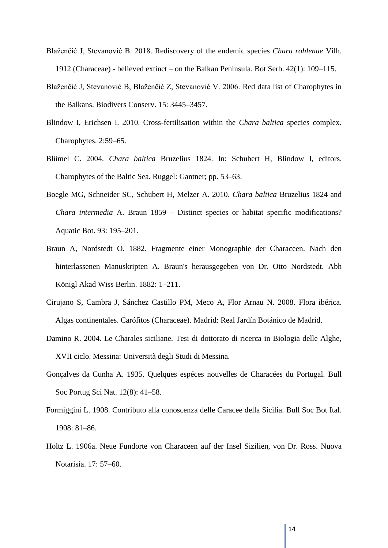- Blaženčić J, Stevanović B. 2018. Rediscovery of the endemic species *Chara rohlenae* Vilh. 1912 (Characeae) - believed extinct – on the Balkan Peninsula. Bot Serb. 42(1): 109–115.
- Blaženčić J, Stevanović B, Blaženčić Z, Stevanović V. 2006. Red data list of Charophytes in the Balkans. Biodivers Conserv. 15: 3445–3457.
- Blindow I, Erichsen I. 2010. Cross-fertilisation within the *Chara baltica* species complex. Charophytes. 2:59–65.
- Blümel C. 2004. *Chara baltica* Bruzelius 1824. In: Schubert H, Blindow I, editors. Charophytes of the Baltic Sea. Ruggel: Gantner; pp. 53–63.
- Boegle MG, Schneider SC, Schubert H, Melzer A. 2010. *Chara baltica* Bruzelius 1824 and *Chara intermedia* A. Braun 1859 – Distinct species or habitat specific modifications? Aquatic Bot. 93: 195–201.
- Braun A, Nordstedt O. 1882. Fragmente einer Monographie der Characeen. Nach den hinterlassenen Manuskripten A. Braun's herausgegeben von Dr. Otto Nordstedt. Abh Königl Akad Wiss Berlin. 1882: 1–211.
- Cirujano S, Cambra J, Sánchez Castillo PM, Meco A, Flor Arnau N. 2008. Flora ibérica. Algas continentales. Carófitos (Characeae). Madrid: Real Jardín Botánico de Madrid.
- Damino R. 2004. Le Charales siciliane. Tesi di dottorato di ricerca in Biologia delle Alghe, XVII ciclo. Messina: Università degli Studi di Messina.
- Gonçalves da Cunha A. 1935. Quelques espéces nouvelles de Characées du Portugal. Bull Soc Portug Sci Nat. 12(8): 41–58.
- Formiggini L. 1908. Contributo alla conoscenza delle Caracee della Sicilia. Bull Soc Bot Ital. 1908: 81–86.
- Holtz L. 1906a. Neue Fundorte von Characeen auf der Insel Sizilien, von Dr. Ross. Nuova Notarisia. 17: 57–60.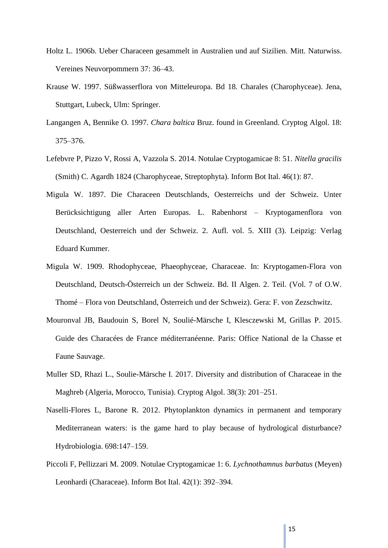- Holtz L. 1906b. Ueber Characeen gesammelt in Australien und auf Sizilien. Mitt. Naturwiss. Vereines Neuvorpommern 37: 36–43.
- Krause W. 1997. Süßwasserflora von Mitteleuropa. Bd 18. Charales (Charophyceae). Jena, Stuttgart, Lubeck, Ulm: Springer.
- Langangen A, Bennike O. 1997. *Chara baltica* Bruz. found in Greenland. Cryptog Algol. 18: 375–376.
- Lefebvre P, Pizzo V, Rossi A, Vazzola S. 2014. Notulae Cryptogamicae 8: 51. *Nitella gracilis* (Smith) C. Agardh 1824 (Charophyceae, Streptophyta). Inform Bot Ital. 46(1): 87.
- Migula W. 1897. Die Characeen Deutschlands, Oesterreichs und der Schweiz. Unter Berücksichtigung aller Arten Europas. L. Rabenhorst – Kryptogamenflora von Deutschland, Oesterreich und der Schweiz. 2. Aufl. vol. 5. XIII (3). Leipzig: Verlag Eduard Kummer.
- Migula W. 1909. Rhodophyceae, Phaeophyceae, Characeae. In: Kryptogamen-Flora von Deutschland, Deutsch-Österreich un der Schweiz. Bd. II Algen. 2. Teil. (Vol. 7 of O.W. Thomé – Flora von Deutschland, Österreich und der Schweiz). Gera: F. von Zezschwitz.
- Mouronval JB, Baudouin S, Borel N, Soulié-Märsche I, Klesczewski M, Grillas P. 2015. Guide des Characées de France méditerranéenne. Paris: Office National de la Chasse et Faune Sauvage.
- Muller SD, Rhazi L., Soulie-Märsche I. 2017. Diversity and distribution of Characeae in the Maghreb (Algeria, Morocco, Tunisia). Cryptog Algol. 38(3): 201–251.
- Naselli-Flores L, Barone R. 2012. Phytoplankton dynamics in permanent and temporary Mediterranean waters: is the game hard to play because of hydrological disturbance? Hydrobiologia. 698:147–159.
- Piccoli F, Pellizzari M. 2009. Notulae Cryptogamicae 1: 6. *Lychnothamnus barbatus* (Meyen) Leonhardi (Characeae). Inform Bot Ital. 42(1): 392–394.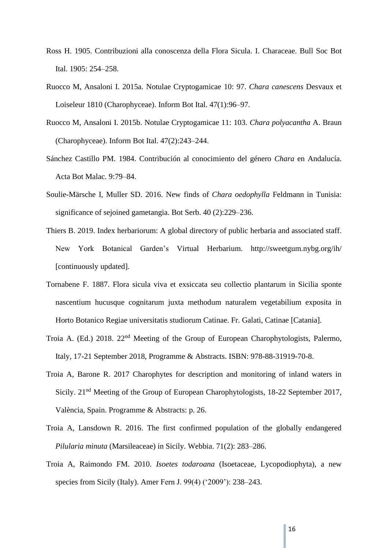- Ross H. 1905. Contribuzioni alla conoscenza della Flora Sicula. I. Characeae. Bull Soc Bot Ital. 1905: 254–258.
- Ruocco M, Ansaloni I. 2015a. Notulae Cryptogamicae 10: 97. *Chara canescens* Desvaux et Loiseleur 1810 (Charophyceae). Inform Bot Ital. 47(1):96–97.
- Ruocco M, Ansaloni I. 2015b. Notulae Cryptogamicae 11: 103. *Chara polyacantha* A. Braun (Charophyceae). Inform Bot Ital. 47(2):243–244.
- Sánchez Castillo PM. 1984. Contribución al conocimiento del género *Chara* en Andalucía. Acta Bot Malac. 9:79–84.
- Soulie-Märsche I, Muller SD. 2016. New finds of *Chara oedophylla* Feldmann in Tunisia: significance of sejoined gametangia. Bot Serb. 40 (2):229–236.
- Thiers B. 2019. Index herbariorum: A global directory of public herbaria and associated staff. New York Botanical Garden's Virtual Herbarium. http://sweetgum.nybg.org/ih/ [continuously updated].
- Tornabene F. 1887. Flora sicula viva et exsiccata seu collectio plantarum in Sicilia sponte nascentium hucusque cognitarum juxta methodum naturalem vegetabilium exposita in Horto Botanico Regiae universitatis studiorum Catinae. Fr. Galati, Catinae [Catania].
- Troia A. (Ed.) 2018. 22nd Meeting of the Group of European Charophytologists, Palermo, Italy, 17-21 September 2018, Programme & Abstracts. ISBN: 978-88-31919-70-8.
- Troia A, Barone R. 2017 Charophytes for description and monitoring of inland waters in Sicily. 21<sup>nd</sup> Meeting of the Group of European Charophytologists, 18-22 September 2017, València, Spain. Programme & Abstracts: p. 26.
- Troia A, Lansdown R. 2016. The first confirmed population of the globally endangered *Pilularia minuta* (Marsileaceae) in Sicily. Webbia. 71(2): 283–286.
- Troia A, Raimondo FM. 2010. *Isoetes todaroana* (Isoetaceae, Lycopodiophyta), a new species from Sicily (Italy). Amer Fern J. 99(4) ('2009'): 238–243.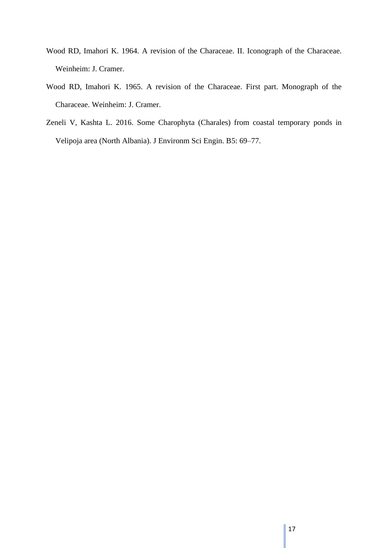- Wood RD, Imahori K. 1964. A revision of the Characeae. II. Iconograph of the Characeae. Weinheim: J. Cramer.
- Wood RD, Imahori K. 1965. A revision of the Characeae. First part. Monograph of the Characeae. Weinheim: J. Cramer.
- Zeneli V, Kashta L. 2016. Some Charophyta (Charales) from coastal temporary ponds in Velipoja area (North Albania). J Environm Sci Engin. B5: 69–77.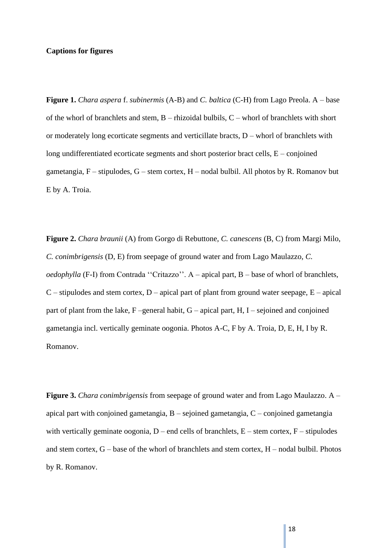## **Captions for figures**

**Figure 1.** *Chara aspera* f. *subinermis* (A-B) and *C. baltica* (C-H) from Lago Preola. A – base of the whorl of branchlets and stem, B – rhizoidal bulbils, C – whorl of branchlets with short or moderately long ecorticate segments and verticillate bracts, D – whorl of branchlets with long undifferentiated ecorticate segments and short posterior bract cells, E – conjoined gametangia,  $F$  – stipulodes,  $G$  – stem cortex,  $H$  – nodal bulbil. All photos by R. Romanov but E by A. Troia.

**Figure 2.** *Chara braunii* (A) from Gorgo di Rebuttone, *C. canescens* (B, C) from Margi Milo, *C. conimbrigensis* (D, E) from seepage of ground water and from Lago Maulazzo, *C. oedophylla* (F-I) from Contrada "Critazzo". A – apical part, B – base of whorl of branchlets,  $C$  – stipulodes and stem cortex,  $D$  – apical part of plant from ground water seepage,  $E$  – apical part of plant from the lake,  $F$  –general habit,  $G$  – apical part,  $H$ ,  $I$  – sejoined and conjoined gametangia incl. vertically geminate oogonia. Photos A-C, F by A. Troia, D, E, H, I by R. Romanov.

**Figure 3.** *Chara conimbrigensis* from seepage of ground water and from Lago Maulazzo. A – apical part with conjoined gametangia, B – sejoined gametangia, C – conjoined gametangia with vertically geminate oogonia,  $D$  – end cells of branchlets,  $E$  – stem cortex,  $F$  – stipulodes and stem cortex, G – base of the whorl of branchlets and stem cortex, H – nodal bulbil. Photos by R. Romanov.